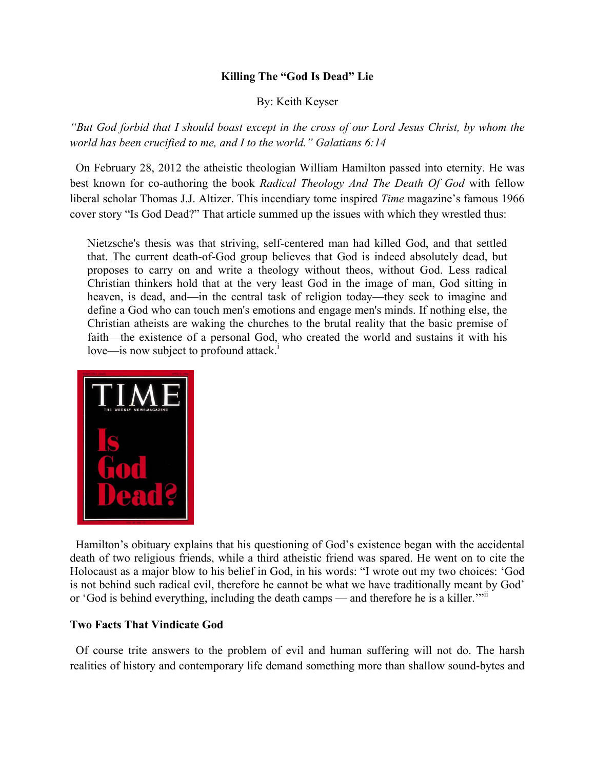## **Killing The "God Is Dead" Lie**

By: Keith Keyser

*"But God forbid that I should boast except in the cross of our Lord Jesus Christ, by whom the world has been crucified to me, and I to the world." Galatians 6:14*

 On February 28, 2012 the atheistic theologian William Hamilton passed into eternity. He was best known for co-authoring the book *Radical Theology And The Death Of God* with fellow liberal scholar Thomas J.J. Altizer. This incendiary tome inspired *Time* magazine's famous 1966 cover story "Is God Dead?" That article summed up the issues with which they wrestled thus:

Nietzsche's thesis was that striving, self-centered man had killed God, and that settled that. The current death-of-God group believes that God is indeed absolutely dead, but proposes to carry on and write a theology without theos, without God. Less radical Christian thinkers hold that at the very least God in the image of man, God sitting in heaven, is dead, and—in the central task of religion today—they seek to imagine and define a God who can touch men's emotions and engage men's minds. If nothing else, the Christian atheists are waking the churches to the brutal reality that the basic premise of faith—the existence of a personal God, who created the world and sustains it with his love—is now subject to profound attack.<sup>1</sup>



 Hamilton's obituary explains that his questioning of God's existence began with the accidental death of two religious friends, while a third atheistic friend was spared. He went on to cite the Holocaust as a major blow to his belief in God, in his words: "I wrote out my two choices: 'God is not behind such radical evil, therefore he cannot be what we have traditionally meant by God' or 'God is behind everything, including the death camps — and therefore he is a killer.'"

## **Two Facts That Vindicate God**

 Of course trite answers to the problem of evil and human suffering will not do. The harsh realities of history and contemporary life demand something more than shallow sound-bytes and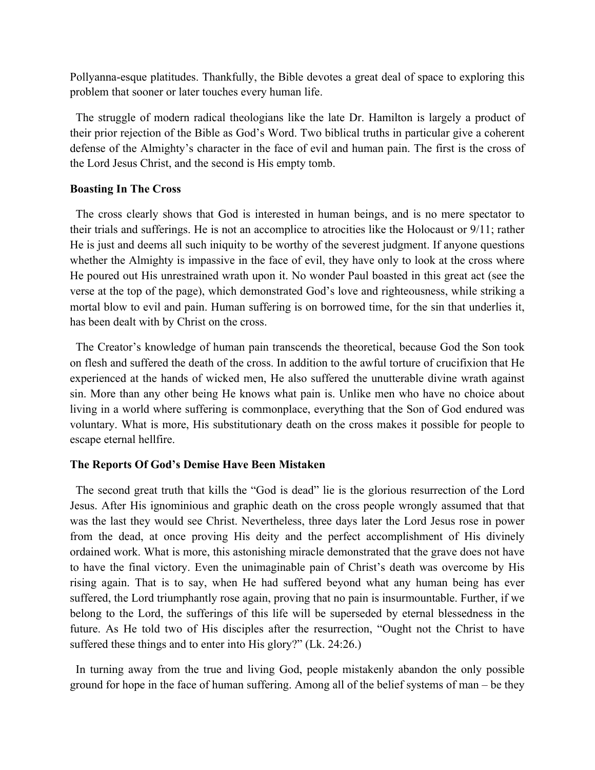Pollyanna-esque platitudes. Thankfully, the Bible devotes a great deal of space to exploring this problem that sooner or later touches every human life.

 The struggle of modern radical theologians like the late Dr. Hamilton is largely a product of their prior rejection of the Bible as God's Word. Two biblical truths in particular give a coherent defense of the Almighty's character in the face of evil and human pain. The first is the cross of the Lord Jesus Christ, and the second is His empty tomb.

## **Boasting In The Cross**

 The cross clearly shows that God is interested in human beings, and is no mere spectator to their trials and sufferings. He is not an accomplice to atrocities like the Holocaust or 9/11; rather He is just and deems all such iniquity to be worthy of the severest judgment. If anyone questions whether the Almighty is impassive in the face of evil, they have only to look at the cross where He poured out His unrestrained wrath upon it. No wonder Paul boasted in this great act (see the verse at the top of the page), which demonstrated God's love and righteousness, while striking a mortal blow to evil and pain. Human suffering is on borrowed time, for the sin that underlies it, has been dealt with by Christ on the cross.

 The Creator's knowledge of human pain transcends the theoretical, because God the Son took on flesh and suffered the death of the cross. In addition to the awful torture of crucifixion that He experienced at the hands of wicked men, He also suffered the unutterable divine wrath against sin. More than any other being He knows what pain is. Unlike men who have no choice about living in a world where suffering is commonplace, everything that the Son of God endured was voluntary. What is more, His substitutionary death on the cross makes it possible for people to escape eternal hellfire.

## **The Reports Of God's Demise Have Been Mistaken**

 The second great truth that kills the "God is dead" lie is the glorious resurrection of the Lord Jesus. After His ignominious and graphic death on the cross people wrongly assumed that that was the last they would see Christ. Nevertheless, three days later the Lord Jesus rose in power from the dead, at once proving His deity and the perfect accomplishment of His divinely ordained work. What is more, this astonishing miracle demonstrated that the grave does not have to have the final victory. Even the unimaginable pain of Christ's death was overcome by His rising again. That is to say, when He had suffered beyond what any human being has ever suffered, the Lord triumphantly rose again, proving that no pain is insurmountable. Further, if we belong to the Lord, the sufferings of this life will be superseded by eternal blessedness in the future. As He told two of His disciples after the resurrection, "Ought not the Christ to have suffered these things and to enter into His glory?" (Lk. 24:26.)

 In turning away from the true and living God, people mistakenly abandon the only possible ground for hope in the face of human suffering. Among all of the belief systems of man – be they